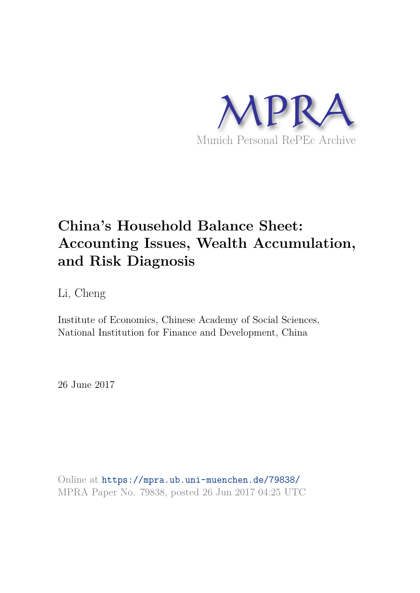

# **China's Household Balance Sheet: Accounting Issues, Wealth Accumulation, and Risk Diagnosis**

Li, Cheng

Institute of Economics, Chinese Academy of Social Sciences, National Institution for Finance and Development, China

26 June 2017

Online at https://mpra.ub.uni-muenchen.de/79838/ MPRA Paper No. 79838, posted 26 Jun 2017 04:25 UTC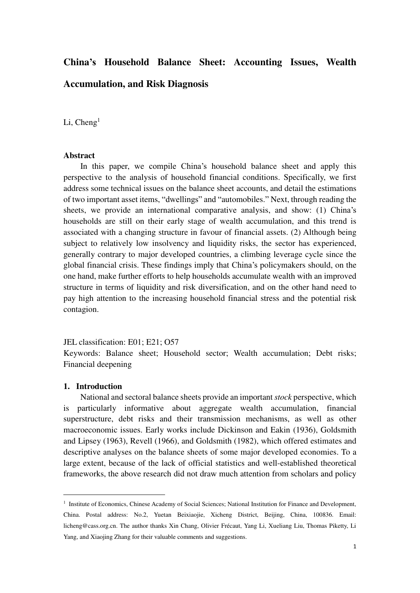## **China's Household Balance Sheet: Accounting Issues, Wealth Accumulation, and Risk Diagnosis**

Li,  $Cheng<sup>1</sup>$ 

#### **Abstract**

In this paper, we compile China's household balance sheet and apply this perspective to the analysis of household financial conditions. Specifically, we first address some technical issues on the balance sheet accounts, and detail the estimations of two important asset items, "dwellings" and "automobiles." Next, through reading the sheets, we provide an international comparative analysis, and show: (1) China's households are still on their early stage of wealth accumulation, and this trend is associated with a changing structure in favour of financial assets. (2) Although being subject to relatively low insolvency and liquidity risks, the sector has experienced, generally contrary to major developed countries, a climbing leverage cycle since the global financial crisis. These findings imply that China's policymakers should, on the one hand, make further efforts to help households accumulate wealth with an improved structure in terms of liquidity and risk diversification, and on the other hand need to pay high attention to the increasing household financial stress and the potential risk contagion.

#### JEL classification: E01; E21; O57

Keywords: Balance sheet; Household sector; Wealth accumulation; Debt risks; Financial deepening

#### **1. Introduction**

<u>.</u>

National and sectoral balance sheets provide an important *stock* perspective, which is particularly informative about aggregate wealth accumulation, financial superstructure, debt risks and their transmission mechanisms, as well as other macroeconomic issues. Early works include Dickinson and Eakin (1936), Goldsmith and Lipsey (1963), Revell (1966), and Goldsmith (1982), which offered estimates and descriptive analyses on the balance sheets of some major developed economies. To a large extent, because of the lack of official statistics and well-established theoretical frameworks, the above research did not draw much attention from scholars and policy

<sup>&</sup>lt;sup>1</sup> Institute of Economics, Chinese Academy of Social Sciences; National Institution for Finance and Development, China. Postal address: No.2, Yuetan Beixiaojie, Xicheng District, Beijing, China, 100836. Email: [licheng@cass.org.cn.](mailto:licheng@cass.org.cn) The author thanks Xin Chang, Olivier Frécaut, Yang Li, Xueliang Liu, Thomas Piketty, Li Yang, and Xiaojing Zhang for their valuable comments and suggestions.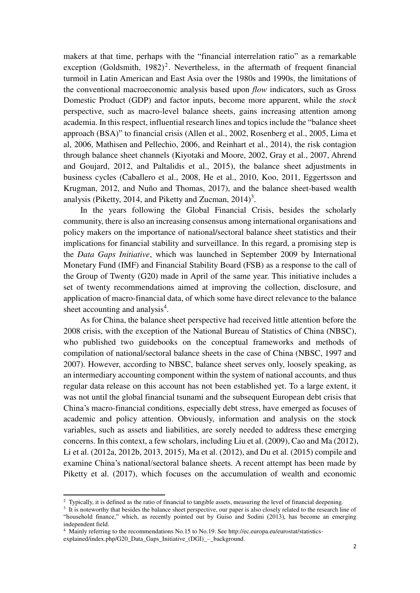makers at that time, perhaps with the "financial interrelation ratio" as a remarkable exception (Goldsmith,  $1982$ )<sup>2</sup>. Nevertheless, in the aftermath of frequent financial turmoil in Latin American and East Asia over the 1980s and 1990s, the limitations of the conventional macroeconomic analysis based upon *flow* indicators, such as Gross Domestic Product (GDP) and factor inputs, become more apparent, while the *stock*  perspective, such as macro-level balance sheets, gains increasing attention among academia. In this respect, influential research lines and topics include the "balance sheet approach (BSA)" to financial crisis (Allen et al., 2002, Rosenberg et al., 2005, Lima et al, 2006, Mathisen and Pellechio, 2006, and Reinhart et al., 2014), the risk contagion through balance sheet channels (Kiyotaki and Moore, 2002, Gray et al., 2007, Ahrend and Goujard, 2012, and Paltalidis et al., 2015), the balance sheet adjustments in business cycles (Caballero et al., 2008, He et al., 2010, Koo, 2011, Eggertsson and Krugman, 2012, and Nuño and Thomas, 2017), and the balance sheet-based wealth analysis (Piketty, 2014, and Piketty and Zucman,  $2014$ )<sup>3</sup>.

In the years following the Global Financial Crisis, besides the scholarly community, there is also an increasing consensus among international organisations and policy makers on the importance of national/sectoral balance sheet statistics and their implications for financial stability and surveillance. In this regard, a promising step is the *Data Gaps Initiative*, which was launched in September 2009 by International Monetary Fund (IMF) and Financial Stability Board (FSB) as a response to the call of the Group of Twenty (G20) made in April of the same year. This initiative includes a set of twenty recommendations aimed at improving the collection, disclosure, and application of macro-financial data, of which some have direct relevance to the balance sheet accounting and analysis<sup>4</sup>.

As for China, the balance sheet perspective had received little attention before the 2008 crisis, with the exception of the National Bureau of Statistics of China (NBSC), who published two guidebooks on the conceptual frameworks and methods of compilation of national/sectoral balance sheets in the case of China (NBSC, 1997 and 2007). However, according to NBSC, balance sheet serves only, loosely speaking, as an intermediary accounting component within the system of national accounts, and thus regular data release on this account has not been established yet. To a large extent, it was not until the global financial tsunami and the subsequent European debt crisis that China's macro-financial conditions, especially debt stress, have emerged as focuses of academic and policy attention. Obviously, information and analysis on the stock variables, such as assets and liabilities, are sorely needed to address these emerging concerns. In this context, a few scholars, including Liu et al. (2009), Cao and Ma (2012), Li et al. (2012a, 2012b, 2013, 2015), Ma et al. (2012), and Du et al. (2015) compile and examine China's national/sectoral balance sheets. A recent attempt has been made by Piketty et al. (2017), which focuses on the accumulation of wealth and economic

<sup>&</sup>lt;sup>2</sup> Typically, it is defined as the ratio of financial to tangible assets, measuring the level of financial deepening.

<sup>&</sup>lt;sup>3</sup> It is noteworthy that besides the balance sheet perspective, our paper is also closely related to the research line of "household finance," which, as recently pointed out by Guiso and Sodini (2013), has become an emerging independent field.

<sup>4</sup> Mainly referring to the recommendations No.15 to No.19. See http://ec.europa.eu/eurostat/statisticsexplained/index.php/G20\_Data\_Gaps\_Initiative\_(DGI)\_–\_background.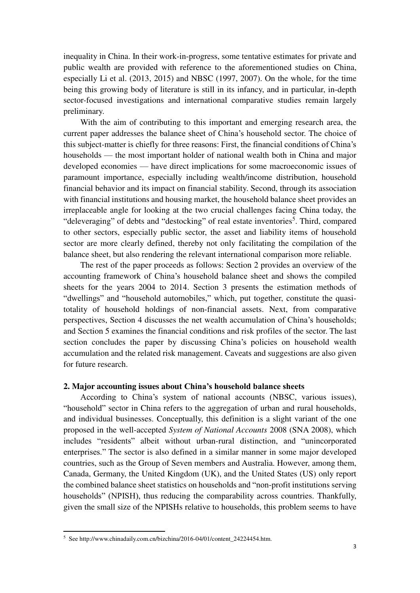inequality in China. In their work-in-progress, some tentative estimates for private and public wealth are provided with reference to the aforementioned studies on China, especially Li et al. (2013, 2015) and NBSC (1997, 2007). On the whole, for the time being this growing body of literature is still in its infancy, and in particular, in-depth sector-focused investigations and international comparative studies remain largely preliminary.

With the aim of contributing to this important and emerging research area, the current paper addresses the balance sheet of China's household sector. The choice of this subject-matter is chiefly for three reasons: First, the financial conditions of China's households — the most important holder of national wealth both in China and major developed economies — have direct implications for some macroeconomic issues of paramount importance, especially including wealth/income distribution, household financial behavior and its impact on financial stability. Second, through its association with financial institutions and housing market, the household balance sheet provides an irreplaceable angle for looking at the two crucial challenges facing China today, the "deleveraging" of debts and "destocking" of real estate inventories<sup>5</sup>. Third, compared to other sectors, especially public sector, the asset and liability items of household sector are more clearly defined, thereby not only facilitating the compilation of the balance sheet, but also rendering the relevant international comparison more reliable.

The rest of the paper proceeds as follows: Section 2 provides an overview of the accounting framework of China's household balance sheet and shows the compiled sheets for the years 2004 to 2014. Section 3 presents the estimation methods of "dwellings" and "household automobiles," which, put together, constitute the quasitotality of household holdings of non-financial assets. Next, from comparative perspectives, Section 4 discusses the net wealth accumulation of China's households; and Section 5 examines the financial conditions and risk profiles of the sector. The last section concludes the paper by discussing China's policies on household wealth accumulation and the related risk management. Caveats and suggestions are also given for future research.

#### **2. Major accounting issues about China's household balance sheets**

According to China's system of national accounts (NBSC, various issues), "household" sector in China refers to the aggregation of urban and rural households, and individual businesses. Conceptually, this definition is a slight variant of the one proposed in the well-accepted *System of National Accounts* 2008 (SNA 2008), which includes "residents" albeit without urban-rural distinction, and "unincorporated enterprises." The sector is also defined in a similar manner in some major developed countries, such as the Group of Seven members and Australia. However, among them, Canada, Germany, the United Kingdom (UK), and the United States (US) only report the combined balance sheet statistics on households and "non-profit institutions serving households" (NPISH), thus reducing the comparability across countries. Thankfully, given the small size of the NPISHs relative to households, this problem seems to have

 5 See http://www.chinadaily.com.cn/bizchina/2016-04/01/content\_24224454.htm.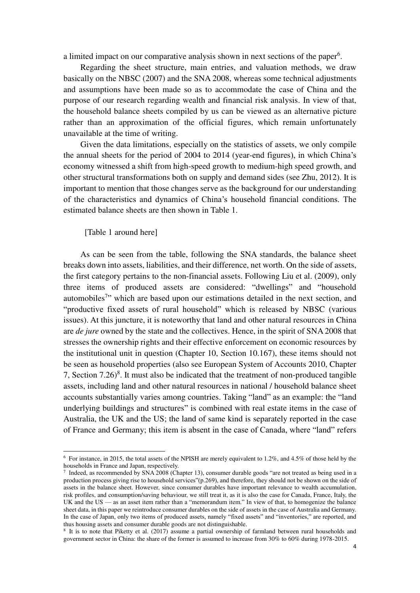a limited impact on our comparative analysis shown in next sections of the paper<sup>6</sup>.

Regarding the sheet structure, main entries, and valuation methods, we draw basically on the NBSC (2007) and the SNA 2008, whereas some technical adjustments and assumptions have been made so as to accommodate the case of China and the purpose of our research regarding wealth and financial risk analysis. In view of that, the household balance sheets compiled by us can be viewed as an alternative picture rather than an approximation of the official figures, which remain unfortunately unavailable at the time of writing.

Given the data limitations, especially on the statistics of assets, we only compile the annual sheets for the period of 2004 to 2014 (year-end figures), in which China's economy witnessed a shift from high-speed growth to medium-high speed growth, and other structural transformations both on supply and demand sides (see Zhu, 2012). It is important to mention that those changes serve as the background for our understanding of the characteristics and dynamics of China's household financial conditions. The estimated balance sheets are then shown in Table 1.

[Table 1 around here]

<u>.</u>

As can be seen from the table, following the SNA standards, the balance sheet breaks down into assets, liabilities, and their difference, net worth. On the side of assets, the first category pertains to the non-financial assets. Following Liu et al. (2009), only three items of produced assets are considered: "dwellings" and "household automobiles<sup>7</sup>" which are based upon our estimations detailed in the next section, and "productive fixed assets of rural household" which is released by NBSC (various issues). At this juncture, it is noteworthy that land and other natural resources in China are *de jure* owned by the state and the collectives. Hence, in the spirit of SNA 2008 that stresses the ownership rights and their effective enforcement on economic resources by the institutional unit in question (Chapter 10, Section 10.167), these items should not be seen as household properties (also see European System of Accounts 2010, Chapter 7, Section  $7.26$ <sup>8</sup>. It must also be indicated that the treatment of non-produced tangible assets, including land and other natural resources in national / household balance sheet accounts substantially varies among countries. Taking "land" as an example: the "land underlying buildings and structures" is combined with real estate items in the case of Australia, the UK and the US; the land of same kind is separately reported in the case of France and Germany; this item is absent in the case of Canada, where "land" refers

<sup>6</sup> For instance, in 2015, the total assets of the NPISH are merely equivalent to 1.2%, and 4.5% of those held by the households in France and Japan, respectively.

<sup>7</sup> Indeed, as recommended by SNA 2008 (Chapter 13), consumer durable goods "are not treated as being used in a production process giving rise to household services"(p.269), and therefore, they should not be shown on the side of assets in the balance sheet. However, since consumer durables have important relevance to wealth accumulation, risk profiles, and consumption/saving behaviour, we still treat it, as it is also the case for Canada, France, Italy, the UK and the US — as an asset item rather than a "memorandum item." In view of that, to homogenize the balance sheet data, in this paper we reintroduce consumer durables on the side of assets in the case of Australia and Germany. In the case of Japan, only two items of produced assets, namely "fixed assets" and "inventories," are reported, and thus housing assets and consumer durable goods are not distinguishable.

<sup>&</sup>lt;sup>8</sup> It is to note that Piketty et al. (2017) assume a partial ownership of farmland between rural households and government sector in China: the share of the former is assumed to increase from 30% to 60% during 1978-2015.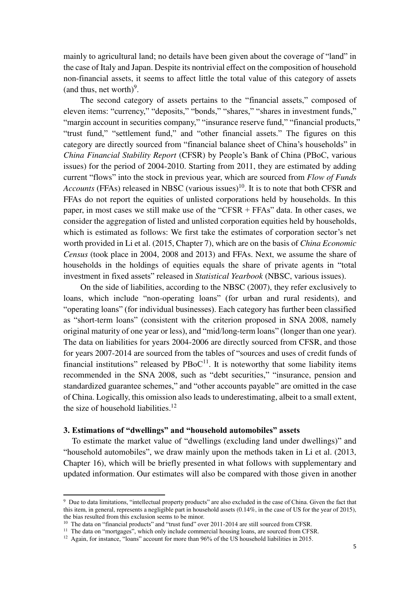mainly to agricultural land; no details have been given about the coverage of "land" in the case of Italy and Japan. Despite its nontrivial effect on the composition of household non-financial assets, it seems to affect little the total value of this category of assets (and thus, net worth) $9$ .

The second category of assets pertains to the "financial assets," composed of eleven items: "currency," "deposits," "bonds," "shares," "shares in investment funds," "margin account in securities company," "insurance reserve fund," "financial products," "trust fund," "settlement fund," and "other financial assets." The figures on this category are directly sourced from "financial balance sheet of China's households" in *China Financial Stability Report* (CFSR) by People's Bank of China (PBoC, various issues) for the period of 2004-2010. Starting from 2011, they are estimated by adding current "flows" into the stock in previous year, which are sourced from *Flow of Funds Accounts* (FFAs) released in NBSC (various issues)<sup>10</sup>. It is to note that both CFSR and FFAs do not report the equities of unlisted corporations held by households. In this paper, in most cases we still make use of the "CFSR + FFAs" data. In other cases, we consider the aggregation of listed and unlisted corporation equities held by households, which is estimated as follows: We first take the estimates of corporation sector's net worth provided in Li et al. (2015, Chapter 7), which are on the basis of *China Economic Census* (took place in 2004, 2008 and 2013) and FFAs. Next, we assume the share of households in the holdings of equities equals the share of private agents in "total investment in fixed assets" released in *Statistical Yearbook* (NBSC, various issues).

On the side of liabilities, according to the NBSC (2007), they refer exclusively to loans, which include "non-operating loans" (for urban and rural residents), and "operating loans" (for individual businesses). Each category has further been classified as "short-term loans" (consistent with the criterion proposed in SNA 2008, namely original maturity of one year or less), and "mid/long-term loans" (longer than one year). The data on liabilities for years 2004-2006 are directly sourced from CFSR, and those for years 2007-2014 are sourced from the tables of "sources and uses of credit funds of financial institutions" released by  $PBoC<sup>11</sup>$ . It is noteworthy that some liability items recommended in the SNA 2008, such as "debt securities," "insurance, pension and standardized guarantee schemes," and "other accounts payable" are omitted in the case of China. Logically, this omission also leads to underestimating, albeit to a small extent, the size of household liabilities. $12$ 

### **3. Estimations of "dwellings" and "household automobiles" assets**

<u>.</u>

 To estimate the market value of "dwellings (excluding land under dwellings)" and "household automobiles", we draw mainly upon the methods taken in Li et al. (2013, Chapter 16), which will be briefly presented in what follows with supplementary and updated information. Our estimates will also be compared with those given in another

<sup>9</sup> Due to data limitations, "intellectual property products" are also excluded in the case of China. Given the fact that this item, in general, represents a negligible part in household assets (0.14%, in the case of US for the year of 2015), the bias resulted from this exclusion seems to be minor.

<sup>&</sup>lt;sup>10</sup> The data on "financial products" and "trust fund" over 2011-2014 are still sourced from CFSR.

<sup>&</sup>lt;sup>11</sup> The data on "mortgages", which only include commercial housing loans, are sourced from CFSR.

<sup>&</sup>lt;sup>12</sup> Again, for instance, "loans" account for more than 96% of the US household liabilities in 2015.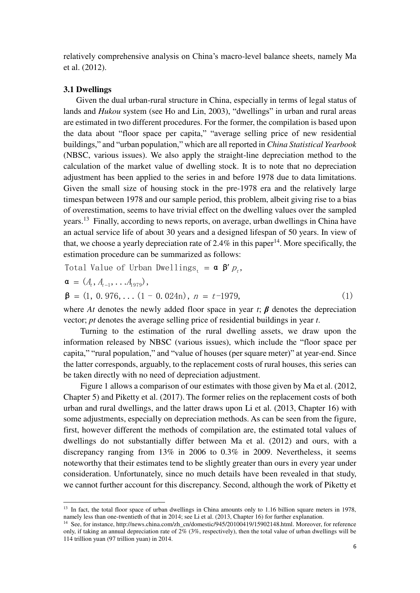relatively comprehensive analysis on China's macro-level balance sheets, namely Ma et al. (2012).

#### **3.1 Dwellings**

<u>.</u>

 Given the dual urban-rural structure in China, especially in terms of legal status of lands and *Hukou* system (see Ho and Lin, 2003), "dwellings" in urban and rural areas are estimated in two different procedures. For the former, the compilation is based upon the data about "floor space per capita," "average selling price of new residential buildings," and "urban population," which are all reported in *China Statistical Yearbook* (NBSC, various issues). We also apply the straight-line depreciation method to the calculation of the market value of dwelling stock. It is to note that no depreciation adjustment has been applied to the series in and before 1978 due to data limitations. Given the small size of housing stock in the pre-1978 era and the relatively large timespan between 1978 and our sample period, this problem, albeit giving rise to a bias of overestimation, seems to have trivial effect on the dwelling values over the sampled years.<sup>13</sup> Finally, according to news reports, on average, urban dwellings in China have an actual service life of about 30 years and a designed lifespan of 50 years. In view of that, we choose a yearly depreciation rate of 2.4% in this paper<sup>14</sup>. More specifically, the estimation procedure can be summarized as follows:

Total Value of Urban Dwellings<sub>t</sub> =  $\alpha$   $\beta' p_t$ ,

$$
\mathbf{a} = (A_t, A_{t-1}, \dots A_{1979}),
$$
  
\n
$$
\mathbf{\beta} = (1, 0, 976, \dots (1 - 0, 024n), n = t-1979,
$$
 (1)

where *At* denotes the newly added floor space in year *t*;  $\beta$  denotes the depreciation vector; *pt* denotes the average selling price of residential buildings in year *t*.

Turning to the estimation of the rural dwelling assets, we draw upon the information released by NBSC (various issues), which include the "floor space per capita," "rural population," and "value of houses (per square meter)" at year-end. Since the latter corresponds, arguably, to the replacement costs of rural houses, this series can be taken directly with no need of depreciation adjustment.

Figure 1 allows a comparison of our estimates with those given by Ma et al. (2012, Chapter 5) and Piketty et al. (2017). The former relies on the replacement costs of both urban and rural dwellings, and the latter draws upon Li et al. (2013, Chapter 16) with some adjustments, especially on depreciation methods. As can be seen from the figure, first, however different the methods of compilation are, the estimated total values of dwellings do not substantially differ between Ma et al. (2012) and ours, with a discrepancy ranging from 13% in 2006 to 0.3% in 2009. Nevertheless, it seems noteworthy that their estimates tend to be slightly greater than ours in every year under consideration. Unfortunately, since no much details have been revealed in that study, we cannot further account for this discrepancy. Second, although the work of Piketty et

<sup>&</sup>lt;sup>13</sup> In fact, the total floor space of urban dwellings in China amounts only to 1.16 billion square meters in 1978, namely less than one-twentieth of that in 2014; see Li et al. (2013, Chapter 16) for further explanation.

<sup>&</sup>lt;sup>14</sup> See, for instance[, http://news.china.com/zh\\_cn/domestic/945/20100419/15902148.html.](http://news.china.com/zh_cn/domestic/945/20100419/15902148.html) Moreover, for reference only, if taking an annual depreciation rate of 2% (3%, respectively), then the total value of urban dwellings will be 114 trillion yuan (97 trillion yuan) in 2014.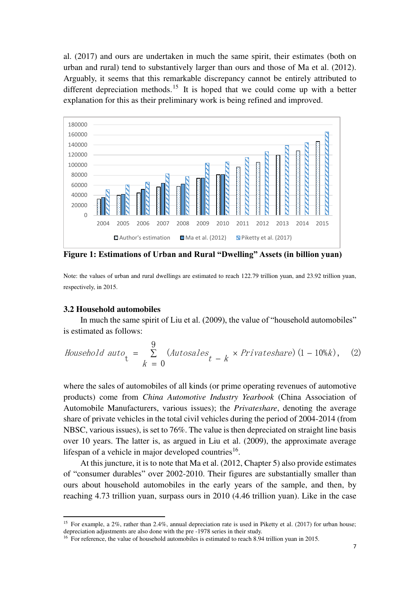al. (2017) and ours are undertaken in much the same spirit, their estimates (both on urban and rural) tend to substantively larger than ours and those of Ma et al. (2012). Arguably, it seems that this remarkable discrepancy cannot be entirely attributed to different depreciation methods.<sup>15</sup> It is hoped that we could come up with a better explanation for this as their preliminary work is being refined and improved.



**Figure 1: Estimations of Urban and Rural "Dwelling" Assets (in billion yuan)**

Note: the values of urban and rural dwellings are estimated to reach 122.79 trillion yuan, and 23.92 trillion yuan, respectively, in 2015.

#### **3.2 Household automobiles**

<u>.</u>

In much the same spirit of Liu et al. (2009), the value of "household automobiles" is estimated as follows:

Household auto<sub>t</sub> = 
$$
\sum_{k=0}^{9}
$$
 (Autosales<sub>t-k</sub> × Privateshare) (1 – 10%k), (2)

where the sales of automobiles of all kinds (or prime operating revenues of automotive products) come from *China Automotive Industry Yearbook* (China Association of Automobile Manufacturers, various issues); the *Privateshare*, denoting the average share of private vehicles in the total civil vehicles during the period of 2004-2014 (from NBSC, various issues), is set to 76%. The value is then depreciated on straight line basis over 10 years. The latter is, as argued in Liu et al. (2009), the approximate average lifespan of a vehicle in major developed countries<sup>16</sup>.

At this juncture, it is to note that Ma et al. (2012, Chapter 5) also provide estimates of "consumer durables" over 2002-2010. Their figures are substantially smaller than ours about household automobiles in the early years of the sample, and then, by reaching 4.73 trillion yuan, surpass ours in 2010 (4.46 trillion yuan). Like in the case

<sup>&</sup>lt;sup>15</sup> For example, a 2%, rather than 2.4%, annual depreciation rate is used in Piketty et al. (2017) for urban house; depreciation adjustments are also done with the pre -1978 series in their study.

<sup>&</sup>lt;sup>16</sup> For reference, the value of household automobiles is estimated to reach 8.94 trillion yuan in 2015.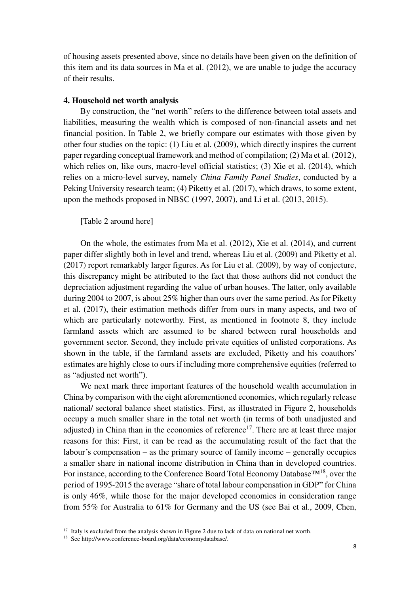of housing assets presented above, since no details have been given on the definition of this item and its data sources in Ma et al. (2012), we are unable to judge the accuracy of their results.

#### **4. Household net worth analysis**

By construction, the "net worth" refers to the difference between total assets and liabilities, measuring the wealth which is composed of non-financial assets and net financial position. In Table 2, we briefly compare our estimates with those given by other four studies on the topic: (1) Liu et al. (2009), which directly inspires the current paper regarding conceptual framework and method of compilation; (2) Ma et al. (2012), which relies on, like ours, macro-level official statistics; (3) Xie et al. (2014), which relies on a micro-level survey, namely *China Family Panel Studies*, conducted by a Peking University research team; (4) Piketty et al. (2017), which draws, to some extent, upon the methods proposed in NBSC (1997, 2007), and Li et al. (2013, 2015).

[Table 2 around here]

On the whole, the estimates from Ma et al. (2012), Xie et al. (2014), and current paper differ slightly both in level and trend, whereas Liu et al. (2009) and Piketty et al. (2017) report remarkably larger figures. As for Liu et al. (2009), by way of conjecture, this discrepancy might be attributed to the fact that those authors did not conduct the depreciation adjustment regarding the value of urban houses. The latter, only available during 2004 to 2007, is about 25% higher than ours over the same period. As for Piketty et al. (2017), their estimation methods differ from ours in many aspects, and two of which are particularly noteworthy. First, as mentioned in footnote 8, they include farmland assets which are assumed to be shared between rural households and government sector. Second, they include private equities of unlisted corporations. As shown in the table, if the farmland assets are excluded, Piketty and his coauthors' estimates are highly close to ours if including more comprehensive equities (referred to as "adjusted net worth").

We next mark three important features of the household wealth accumulation in China by comparison with the eight aforementioned economies, which regularly release national/ sectoral balance sheet statistics. First, as illustrated in Figure 2, households occupy a much smaller share in the total net worth (in terms of both unadjusted and adjusted) in China than in the economies of reference<sup>17</sup>. There are at least three major reasons for this: First, it can be read as the accumulating result of the fact that the labour's compensation – as the primary source of family income – generally occupies a smaller share in national income distribution in China than in developed countries. For instance, according to the Conference Board Total Economy Database™<sup>18</sup>, over the period of 1995-2015 the average "share of total labour compensation in GDP" for China is only 46%, while those for the major developed economies in consideration range from 55% for Australia to 61% for Germany and the US (see Bai et al., 2009, Chen,

<sup>&</sup>lt;sup>17</sup> Italy is excluded from the analysis shown in Figure 2 due to lack of data on national net worth.

<sup>18</sup> Se[e http://www.conference-board.org/data/economydatabase/.](http://www.conference-board.org/data/economydatabase/)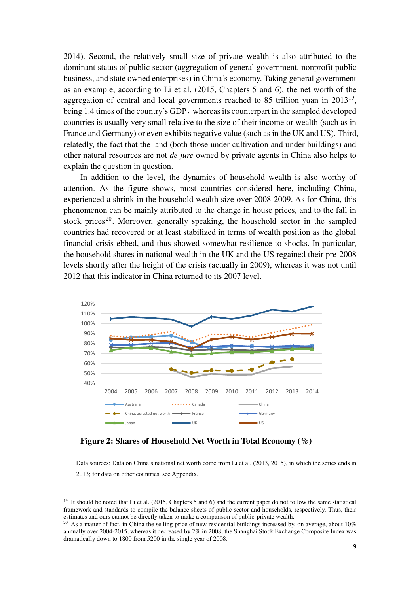2014). Second, the relatively small size of private wealth is also attributed to the dominant status of public sector (aggregation of general government, nonprofit public business, and state owned enterprises) in China's economy. Taking general government as an example, according to Li et al. (2015, Chapters 5 and 6), the net worth of the aggregation of central and local governments reached to 85 trillion yuan in  $2013^{19}$ , being 1.4 times of the country's GDP, whereas its counterpart in the sampled developed countries is usually very small relative to the size of their income or wealth (such as in France and Germany) or even exhibits negative value (such as in the UK and US). Third, relatedly, the fact that the land (both those under cultivation and under buildings) and other natural resources are not *de jure* owned by private agents in China also helps to explain the question in question.

In addition to the level, the dynamics of household wealth is also worthy of attention. As the figure shows, most countries considered here, including China, experienced a shrink in the household wealth size over 2008-2009. As for China, this phenomenon can be mainly attributed to the change in house prices, and to the fall in stock prices<sup>20</sup>. Moreover, generally speaking, the household sector in the sampled countries had recovered or at least stabilized in terms of wealth position as the global financial crisis ebbed, and thus showed somewhat resilience to shocks. In particular, the household shares in national wealth in the UK and the US regained their pre-2008 levels shortly after the height of the crisis (actually in 2009), whereas it was not until 2012 that this indicator in China returned to its 2007 level.



**Figure 2: Shares of Household Net Worth in Total Economy (%)** 

<u>.</u>

Data sources: Data on China's national net worth come from Li et al. (2013, 2015), in which the series ends in 2013; for data on other countries, see Appendix.

 $19$  It should be noted that Li et al. (2015, Chapters 5 and 6) and the current paper do not follow the same statistical framework and standards to compile the balance sheets of public sector and households, respectively. Thus, their estimates and ours cannot be directly taken to make a comparison of public-private wealth.

<sup>&</sup>lt;sup>20</sup> As a matter of fact, in China the selling price of new residential buildings increased by, on average, about 10% annually over 2004-2015, whereas it decreased by 2% in 2008; the Shanghai Stock Exchange Composite Index was dramatically down to 1800 from 5200 in the single year of 2008.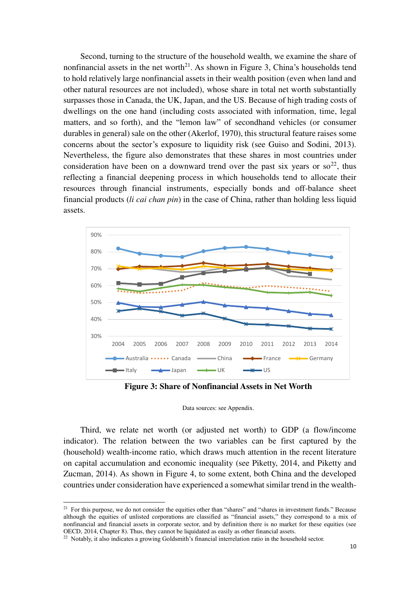Second, turning to the structure of the household wealth, we examine the share of nonfinancial assets in the net worth<sup>21</sup>. As shown in Figure 3, China's households tend to hold relatively large nonfinancial assets in their wealth position (even when land and other natural resources are not included), whose share in total net worth substantially surpasses those in Canada, the UK, Japan, and the US. Because of high trading costs of dwellings on the one hand (including costs associated with information, time, legal matters, and so forth), and the "lemon law" of secondhand vehicles (or consumer durables in general) sale on the other (Akerlof, 1970), this structural feature raises some concerns about the sector's exposure to liquidity risk (see Guiso and Sodini, 2013). Nevertheless, the figure also demonstrates that these shares in most countries under consideration have been on a downward trend over the past six years or so<sup>22</sup>, thus reflecting a financial deepening process in which households tend to allocate their resources through financial instruments, especially bonds and off-balance sheet financial products (*li cai chan pin*) in the case of China, rather than holding less liquid assets.



**Figure 3: Share of Nonfinancial Assets in Net Worth** 

#### Data sources: see Appendix.

Third, we relate net worth (or adjusted net worth) to GDP (a flow/income indicator). The relation between the two variables can be first captured by the (household) wealth-income ratio, which draws much attention in the recent literature on capital accumulation and economic inequality (see Piketty, 2014, and Piketty and Zucman, 2014). As shown in Figure 4, to some extent, both China and the developed countries under consideration have experienced a somewhat similar trend in the wealth-

<sup>&</sup>lt;sup>21</sup> For this purpose, we do not consider the equities other than "shares" and "shares in investment funds." Because although the equities of unlisted corporations are classified as "financial assets," they correspond to a mix of nonfinancial and financial assets in corporate sector, and by definition there is no market for these equities (see OECD, 2014, Chapter 8). Thus, they cannot be liquidated as easily as other financial assets.

<sup>&</sup>lt;sup>22</sup> Notably, it also indicates a growing Goldsmith's financial interrelation ratio in the household sector.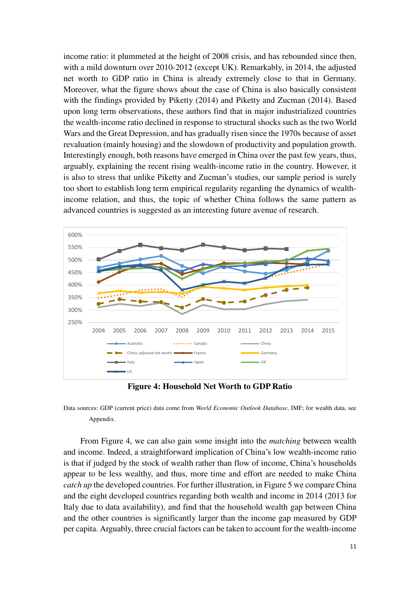income ratio: it plummeted at the height of 2008 crisis, and has rebounded since then, with a mild downturn over 2010-2012 (except UK). Remarkably, in 2014, the adjusted net worth to GDP ratio in China is already extremely close to that in Germany. Moreover, what the figure shows about the case of China is also basically consistent with the findings provided by Piketty (2014) and Piketty and Zucman (2014). Based upon long term observations, these authors find that in major industrialized countries the wealth-income ratio declined in response to structural shocks such as the two World Wars and the Great Depression, and has gradually risen since the 1970s because of asset revaluation (mainly housing) and the slowdown of productivity and population growth. Interestingly enough, both reasons have emerged in China over the past few years, thus, arguably, explaining the recent rising wealth-income ratio in the country. However, it is also to stress that unlike Piketty and Zucman's studies, our sample period is surely too short to establish long term empirical regularity regarding the dynamics of wealthincome relation, and thus, the topic of whether China follows the same pattern as advanced countries is suggested as an interesting future avenue of research.



**Figure 4: Household Net Worth to GDP Ratio**

Data sources: GDP (current price) data come from *World Economic Outlook Database*, IMF; for wealth data, see Appendix.

From Figure 4, we can also gain some insight into the *matching* between wealth and income. Indeed, a straightforward implication of China's low wealth-income ratio is that if judged by the stock of wealth rather than flow of income, China's households appear to be less wealthy, and thus, more time and effort are needed to make China *catch up* the developed countries. For further illustration, in Figure 5 we compare China and the eight developed countries regarding both wealth and income in 2014 (2013 for Italy due to data availability), and find that the household wealth gap between China and the other countries is significantly larger than the income gap measured by GDP per capita. Arguably, three crucial factors can be taken to account for the wealth-income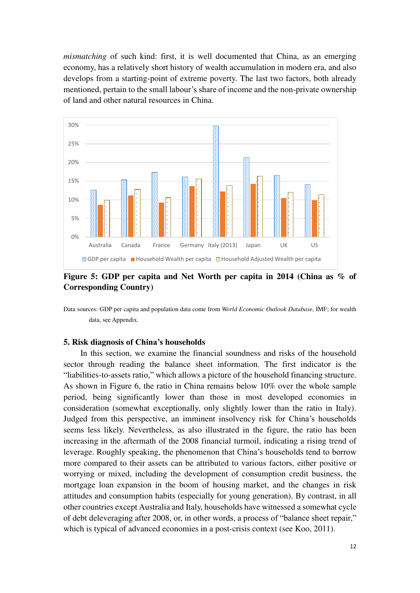*mismatching* of such kind: first, it is well documented that China, as an emerging economy, has a relatively short history of wealth accumulation in modern era, and also develops from a starting-point of extreme poverty. The last two factors, both already mentioned, pertain to the small labour's share of income and the non-private ownership of land and other natural resources in China.



**Figure 5: GDP per capita and Net Worth per capita in 2014 (China as % of Corresponding Country)**

Data sources: GDP per capita and population data come from *World Economic Outlook Database*, IMF; for wealth data, see Appendix.

#### **5. Risk diagnosis of China's households**

In this section, we examine the financial soundness and risks of the household sector through reading the balance sheet information. The first indicator is the "liabilities-to-assets ratio," which allows a picture of the household financing structure. As shown in Figure 6, the ratio in China remains below 10% over the whole sample period, being significantly lower than those in most developed economies in consideration (somewhat exceptionally, only slightly lower than the ratio in Italy). Judged from this perspective, an imminent insolvency risk for China's households seems less likely. Nevertheless, as also illustrated in the figure, the ratio has been increasing in the aftermath of the 2008 financial turmoil, indicating a rising trend of leverage. Roughly speaking, the phenomenon that China's households tend to borrow more compared to their assets can be attributed to various factors, either positive or worrying or mixed, including the development of consumption credit business, the mortgage loan expansion in the boom of housing market, and the changes in risk attitudes and consumption habits (especially for young generation). By contrast, in all other countries except Australia and Italy, households have witnessed a somewhat cycle of debt deleveraging after 2008, or, in other words, a process of "balance sheet repair," which is typical of advanced economies in a post-crisis context (see Koo, 2011).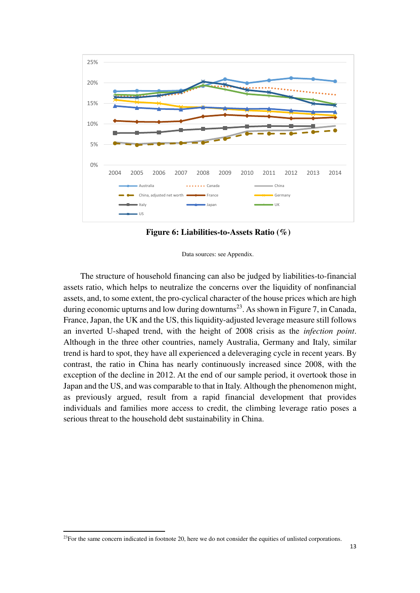

**Figure 6: Liabilities-to-Assets Ratio (%)** 

Data sources: see Appendix.

The structure of household financing can also be judged by liabilities-to-financial assets ratio, which helps to neutralize the concerns over the liquidity of nonfinancial assets, and, to some extent, the pro-cyclical character of the house prices which are high during economic upturns and low during downturns<sup>23</sup>. As shown in Figure 7, in Canada, France, Japan, the UK and the US, this liquidity-adjusted leverage measure still follows an inverted U-shaped trend, with the height of 2008 crisis as the *infection point*. Although in the three other countries, namely Australia, Germany and Italy, similar trend is hard to spot, they have all experienced a deleveraging cycle in recent years. By contrast, the ratio in China has nearly continuously increased since 2008, with the exception of the decline in 2012. At the end of our sample period, it overtook those in Japan and the US, and was comparable to that in Italy. Although the phenomenon might, as previously argued, result from a rapid financial development that provides individuals and families more access to credit, the climbing leverage ratio poses a serious threat to the household debt sustainability in China.

 $^{23}$ For the same concern indicated in footnote 20, here we do not consider the equities of unlisted corporations.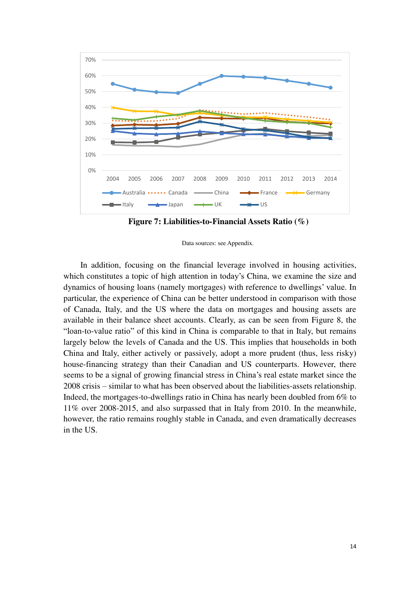

**Figure 7: Liabilities-to-Financial Assets Ratio (%)** 

Data sources: see Appendix.

In addition, focusing on the financial leverage involved in housing activities, which constitutes a topic of high attention in today's China, we examine the size and dynamics of housing loans (namely mortgages) with reference to dwellings' value. In particular, the experience of China can be better understood in comparison with those of Canada, Italy, and the US where the data on mortgages and housing assets are available in their balance sheet accounts. Clearly, as can be seen from Figure 8, the "loan-to-value ratio" of this kind in China is comparable to that in Italy, but remains largely below the levels of Canada and the US. This implies that households in both China and Italy, either actively or passively, adopt a more prudent (thus, less risky) house-financing strategy than their Canadian and US counterparts. However, there seems to be a signal of growing financial stress in China's real estate market since the 2008 crisis – similar to what has been observed about the liabilities-assets relationship. Indeed, the mortgages-to-dwellings ratio in China has nearly been doubled from 6% to 11% over 2008-2015, and also surpassed that in Italy from 2010. In the meanwhile, however, the ratio remains roughly stable in Canada, and even dramatically decreases in the US.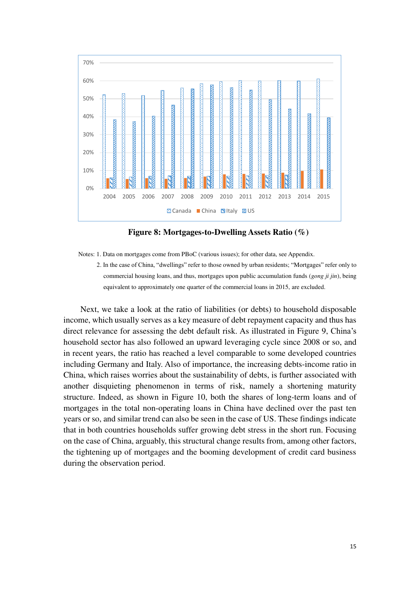

**Figure 8: Mortgages-to-Dwelling Assets Ratio (%)** 

Notes: 1. Data on mortgages come from PBoC (various issues); for other data, see Appendix.

2. In the case of China, "dwellings" refer to those owned by urban residents; "Mortgages" refer only to commercial housing loans, and thus, mortgages upon public accumulation funds (*gong ji jin*), being equivalent to approximately one quarter of the commercial loans in 2015, are excluded.

Next, we take a look at the ratio of liabilities (or debts) to household disposable income, which usually serves as a key measure of debt repayment capacity and thus has direct relevance for assessing the debt default risk. As illustrated in Figure 9, China's household sector has also followed an upward leveraging cycle since 2008 or so, and in recent years, the ratio has reached a level comparable to some developed countries including Germany and Italy. Also of importance, the increasing debts-income ratio in China, which raises worries about the sustainability of debts, is further associated with another disquieting phenomenon in terms of risk, namely a shortening maturity structure. Indeed, as shown in Figure 10, both the shares of long-term loans and of mortgages in the total non-operating loans in China have declined over the past ten years or so, and similar trend can also be seen in the case of US. These findings indicate that in both countries households suffer growing debt stress in the short run. Focusing on the case of China, arguably, this structural change results from, among other factors, the tightening up of mortgages and the booming development of credit card business during the observation period.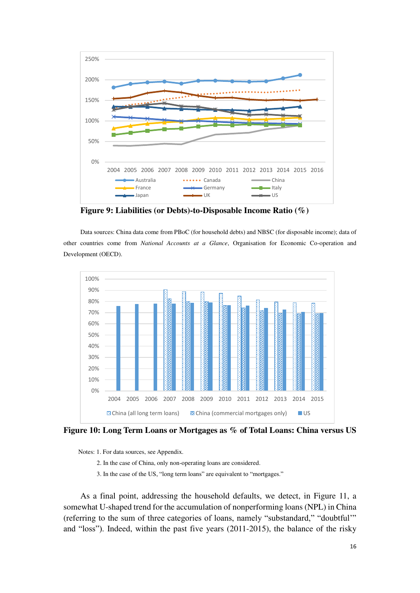

**Figure 9: Liabilities (or Debts)-to-Disposable Income Ratio (%)** 

Data sources: China data come from PBoC (for household debts) and NBSC (for disposable income); data of other countries come from *National Accounts at a Glance*, Organisation for Economic Co-operation and Development (OECD).



**Figure 10: Long Term Loans or Mortgages as % of Total Loans: China versus US** 

Notes: 1. For data sources, see Appendix.

- 2. In the case of China, only non-operating loans are considered.
- 3. In the case of the US, "long term loans" are equivalent to "mortgages."

As a final point, addressing the household defaults, we detect, in Figure 11, a somewhat U-shaped trend for the accumulation of nonperforming loans (NPL) in China (referring to the sum of three categories of loans, namely "substandard," "doubtful'" and "loss"). Indeed, within the past five years (2011-2015), the balance of the risky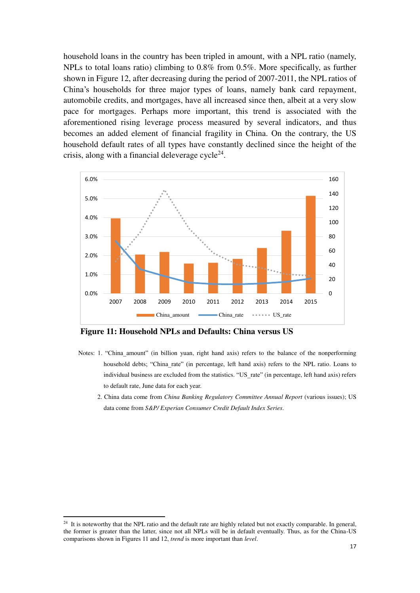household loans in the country has been tripled in amount, with a NPL ratio (namely, NPLs to total loans ratio) climbing to 0.8% from 0.5%. More specifically, as further shown in Figure 12, after decreasing during the period of 2007-2011, the NPL ratios of China's households for three major types of loans, namely bank card repayment, automobile credits, and mortgages, have all increased since then, albeit at a very slow pace for mortgages. Perhaps more important, this trend is associated with the aforementioned rising leverage process measured by several indicators, and thus becomes an added element of financial fragility in China. On the contrary, the US household default rates of all types have constantly declined since the height of the crisis, along with a financial deleverage cycle $^{24}$ .



**Figure 11: Household NPLs and Defaults: China versus US** 

- Notes: 1. "China amount" (in billion yuan, right hand axis) refers to the balance of the nonperforming household debts; "China rate" (in percentage, left hand axis) refers to the NPL ratio. Loans to individual business are excluded from the statistics. "US\_rate" (in percentage, left hand axis) refers to default rate, June data for each year.
	- 2. China data come from *China Banking Regulatory Committee Annual Report* (various issues); US data come from *S&P/ Experian Consumer Credit Default Index Series*.

<sup>&</sup>lt;sup>24</sup> It is noteworthy that the NPL ratio and the default rate are highly related but not exactly comparable. In general, the former is greater than the latter, since not all NPLs will be in default eventually. Thus, as for the China-US comparisons shown in Figures 11 and 12, *trend* is more important than *level*.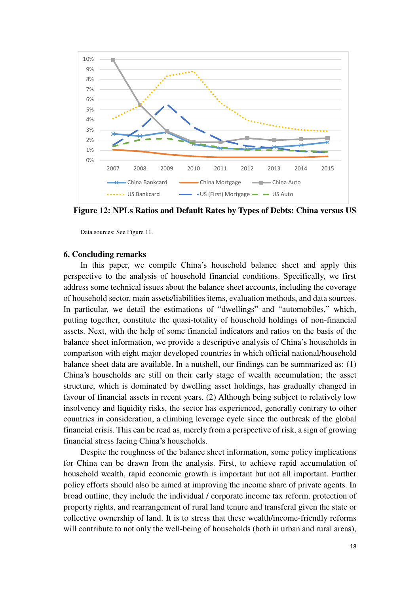

**Figure 12: NPLs Ratios and Default Rates by Types of Debts: China versus US** 

Data sources: See Figure 11.

#### **6. Concluding remarks**

In this paper, we compile China's household balance sheet and apply this perspective to the analysis of household financial conditions. Specifically, we first address some technical issues about the balance sheet accounts, including the coverage of household sector, main assets/liabilities items, evaluation methods, and data sources. In particular, we detail the estimations of "dwellings" and "automobiles," which, putting together, constitute the quasi-totality of household holdings of non-financial assets. Next, with the help of some financial indicators and ratios on the basis of the balance sheet information, we provide a descriptive analysis of China's households in comparison with eight major developed countries in which official national/household balance sheet data are available. In a nutshell, our findings can be summarized as: (1) China's households are still on their early stage of wealth accumulation; the asset structure, which is dominated by dwelling asset holdings, has gradually changed in favour of financial assets in recent years. (2) Although being subject to relatively low insolvency and liquidity risks, the sector has experienced, generally contrary to other countries in consideration, a climbing leverage cycle since the outbreak of the global financial crisis. This can be read as, merely from a perspective of risk, a sign of growing financial stress facing China's households.

Despite the roughness of the balance sheet information, some policy implications for China can be drawn from the analysis. First, to achieve rapid accumulation of household wealth, rapid economic growth is important but not all important. Further policy efforts should also be aimed at improving the income share of private agents. In broad outline, they include the individual / corporate income tax reform, protection of property rights, and rearrangement of rural land tenure and transferal given the state or collective ownership of land. It is to stress that these wealth/income-friendly reforms will contribute to not only the well-being of households (both in urban and rural areas),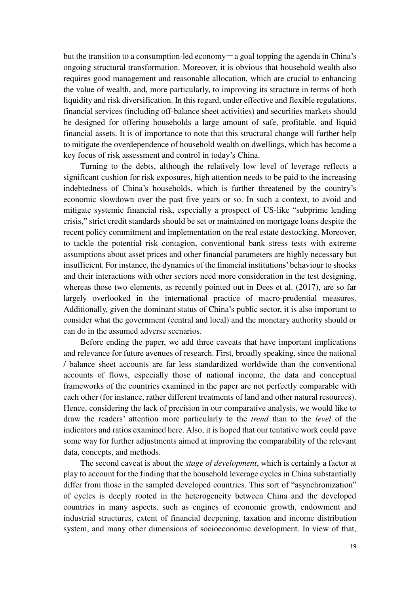but the transition to a consumption-led economy  $-a$  goal topping the agenda in China's ongoing structural transformation. Moreover, it is obvious that household wealth also requires good management and reasonable allocation, which are crucial to enhancing the value of wealth, and, more particularly, to improving its structure in terms of both liquidity and risk diversification. In this regard, under effective and flexible regulations, financial services (including off-balance sheet activities) and securities markets should be designed for offering households a large amount of safe, profitable, and liquid financial assets. It is of importance to note that this structural change will further help to mitigate the overdependence of household wealth on dwellings, which has become a key focus of risk assessment and control in today's China.

Turning to the debts, although the relatively low level of leverage reflects a significant cushion for risk exposures, high attention needs to be paid to the increasing indebtedness of China's households, which is further threatened by the country's economic slowdown over the past five years or so. In such a context, to avoid and mitigate systemic financial risk, especially a prospect of US-like "subprime lending crisis," strict credit standards should be set or maintained on mortgage loans despite the recent policy commitment and implementation on the real estate destocking. Moreover, to tackle the potential risk contagion, conventional bank stress tests with extreme assumptions about asset prices and other financial parameters are highly necessary but insufficient. For instance, the dynamics of the financial institutions' behaviour to shocks and their interactions with other sectors need more consideration in the test designing, whereas those two elements, as recently pointed out in Dees et al. (2017), are so far largely overlooked in the international practice of macro-prudential measures. Additionally, given the dominant status of China's public sector, it is also important to consider what the government (central and local) and the monetary authority should or can do in the assumed adverse scenarios.

Before ending the paper, we add three caveats that have important implications and relevance for future avenues of research. First, broadly speaking, since the national / balance sheet accounts are far less standardized worldwide than the conventional accounts of flows, especially those of national income, the data and conceptual frameworks of the countries examined in the paper are not perfectly comparable with each other (for instance, rather different treatments of land and other natural resources). Hence, considering the lack of precision in our comparative analysis, we would like to draw the readers' attention more particularly to the *trend* than to the *level* of the indicators and ratios examined here. Also, it is hoped that our tentative work could pave some way for further adjustments aimed at improving the comparability of the relevant data, concepts, and methods.

The second caveat is about the *stage of development*, which is certainly a factor at play to account for the finding that the household leverage cycles in China substantially differ from those in the sampled developed countries. This sort of "asynchronization" of cycles is deeply rooted in the heterogeneity between China and the developed countries in many aspects, such as engines of economic growth, endowment and industrial structures, extent of financial deepening, taxation and income distribution system, and many other dimensions of socioeconomic development. In view of that,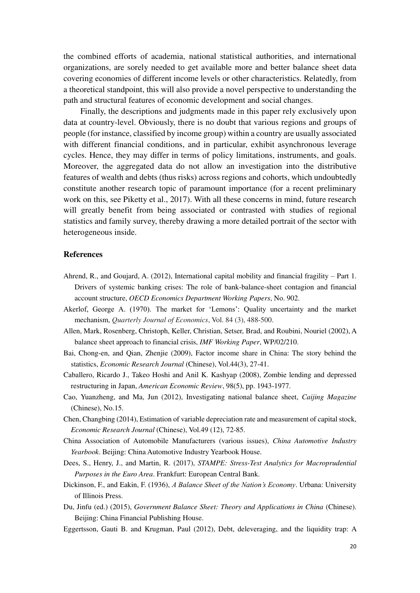the combined efforts of academia, national statistical authorities, and international organizations, are sorely needed to get available more and better balance sheet data covering economies of different income levels or other characteristics. Relatedly, from a theoretical standpoint, this will also provide a novel perspective to understanding the path and structural features of economic development and social changes.

Finally, the descriptions and judgments made in this paper rely exclusively upon data at country-level. Obviously, there is no doubt that various regions and groups of people (for instance, classified by income group) within a country are usually associated with different financial conditions, and in particular, exhibit asynchronous leverage cycles. Hence, they may differ in terms of policy limitations, instruments, and goals. Moreover, the aggregated data do not allow an investigation into the distributive features of wealth and debts (thus risks) across regions and cohorts, which undoubtedly constitute another research topic of paramount importance (for a recent preliminary work on this, see Piketty et al., 2017). With all these concerns in mind, future research will greatly benefit from being associated or contrasted with studies of regional statistics and family survey, thereby drawing a more detailed portrait of the sector with heterogeneous inside.

#### **References**

- Ahrend, R., and Goujard, A. (2012), International capital mobility and financial fragility Part 1. Drivers of systemic banking crises: The role of bank-balance-sheet contagion and financial account structure, *OECD Economics Department Working Papers*, No. 902.
- Akerlof, George A. (1970). The market for 'Lemons': Quality uncertainty and the market mechanism, *Quarterly Journal of Economics*, Vol. 84 (3), 488-500.
- Allen, Mark, Rosenberg, Christoph, Keller, Christian, Setser, Brad, and Roubini, Nouriel (2002), A balance sheet approach to financial crisis, *IMF Working Paper*, WP/02/210.
- Bai, Chong-en, and Qian, Zhenjie (2009), Factor income share in China: The story behind the statistics, *Economic Research Journal* (Chinese), Vol.44(3), 27-41.
- Caballero, Ricardo J., Takeo Hoshi and Anil K. Kashyap (2008), Zombie lending and depressed restructuring in Japan, *American Economic Review*, 98(5), pp. 1943-1977.
- Cao, Yuanzheng, and Ma, Jun (2012), Investigating national balance sheet, *Caijing Magazine*  (Chinese), No.15.
- Chen, Changbing (2014), Estimation of variable depreciation rate and measurement of capital stock, *Economic Research Journal* (Chinese), Vol.49 (12), 72-85.
- China Association of Automobile Manufacturers (various issues), *China Automotive Industry Yearbook*. Beijing: China Automotive Industry Yearbook House.
- Dees, S., Henry, J., and Martin, R. (2017), *STAMPE: Stress-Test Analytics for Macroprudential Purposes in the Euro Area*. Frankfurt: European Central Bank.
- Dickinson, F., and Eakin, F. (1936), *A Balance Sheet of the Nation's Economy*. Urbana: University of Illinois Press.
- Du, Jinfu (ed.) (2015), *Government Balance Sheet: Theory and Applications in China* (Chinese). Beijing: China Financial Publishing House.
- Eggertsson, Gauti B. and Krugman, Paul (2012), Debt, deleveraging, and the liquidity trap: A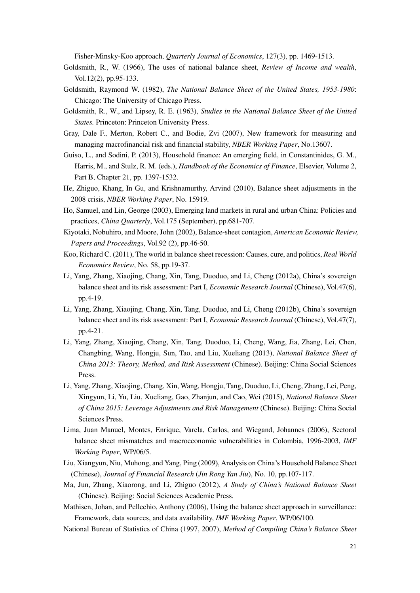Fisher-Minsky-Koo approach, *Quarterly Journal of Economics*, 127(3), pp. 1469-1513.

- Goldsmith, R., W. (1966), The uses of national balance sheet, *Review of Income and wealth*, Vol.12(2), pp.95-133.
- Goldsmith, Raymond W. (1982), *The National Balance Sheet of the United States, 1953-1980*: Chicago: The University of Chicago Press.
- Goldsmith, R., W., and Lipsey, R. E. (1963), *Studies in the National Balance Sheet of the United States.* Princeton: Princeton University Press.
- Gray, Dale F., Merton, Robert C., and Bodie, Zvi (2007), New framework for measuring and managing macrofinancial risk and financial stability, *NBER Working Paper*, No.13607.
- Guiso, L., and Sodini, P. (2013), Household finance: An emerging field, in Constantinides, G. M., Harris, M., and Stulz, R. M. (eds.), *Handbook of the Economics of Finance*, Elsevier, Volume 2, Part B, Chapter 21, pp. 1397-1532.
- He, Zhiguo, Khang, In Gu, and Krishnamurthy, Arvind (2010), Balance sheet adjustments in the 2008 crisis, *NBER Working Paper*, No. 15919.
- Ho, Samuel, and Lin, George (2003), Emerging land markets in rural and urban China: Policies and practices, *China Quarterly*, Vol.175 (September), pp.681-707.
- Kiyotaki, Nobuhiro, and Moore, John (2002), Balance-sheet contagion, *American Economic Review, Papers and Proceedings*, Vol.92 (2), pp.46-50.
- Koo, Richard C. (2011), The world in balance sheet recession: Causes, cure, and politics, *Real World Economics Review*, No. 58, pp.19-37.
- Li, Yang, Zhang, Xiaojing, Chang, Xin, Tang, Duoduo, and Li, Cheng (2012a), China's sovereign balance sheet and its risk assessment: Part I, *Economic Research Journal* (Chinese), Vol.47(6), pp.4-19.
- Li, Yang, Zhang, Xiaojing, Chang, Xin, Tang, Duoduo, and Li, Cheng (2012b), China's sovereign balance sheet and its risk assessment: Part I, *Economic Research Journal* (Chinese), Vol.47(7), pp.4-21.
- Li, Yang, Zhang, Xiaojing, Chang, Xin, Tang, Duoduo, Li, Cheng, Wang, Jia, Zhang, Lei, Chen, Changbing, Wang, Hongju, Sun, Tao, and Liu, Xueliang (2013), *National Balance Sheet of China 2013: Theory, Method, and Risk Assessment* (Chinese). Beijing: China Social Sciences Press.
- Li, Yang, Zhang, Xiaojing, Chang, Xin, Wang, Hongju, Tang, Duoduo, Li, Cheng, Zhang, Lei, Peng, Xingyun, Li, Yu, Liu, Xueliang, Gao, Zhanjun, and Cao, Wei (2015), *National Balance Sheet of China 2015: Leverage Adjustments and Risk Management* (Chinese). Beijing: China Social Sciences Press.
- Lima, Juan Manuel, Montes, Enrique, Varela, Carlos, and Wiegand, Johannes (2006), Sectoral balance sheet mismatches and macroeconomic vulnerabilities in Colombia, 1996-2003, *IMF Working Paper*, WP/06/5.
- Liu, Xiangyun, Niu, Muhong, and Yang, Ping (2009), Analysis on China's Household Balance Sheet (Chinese), *Journal of Financial Research* (*Jin Rong Yan Jiu*), No. 10, pp.107-117.
- Ma, Jun, Zhang, Xiaorong, and Li, Zhiguo (2012), *A Study of China's National Balance Sheet*  (Chinese). Beijing: Social Sciences Academic Press.
- Mathisen, Johan, and Pellechio, Anthony (2006), Using the balance sheet approach in surveillance: Framework, data sources, and data availability, *IMF Working Paper*, WP/06/100.

National Bureau of Statistics of China (1997, 2007), *Method of Compiling China's Balance Sheet*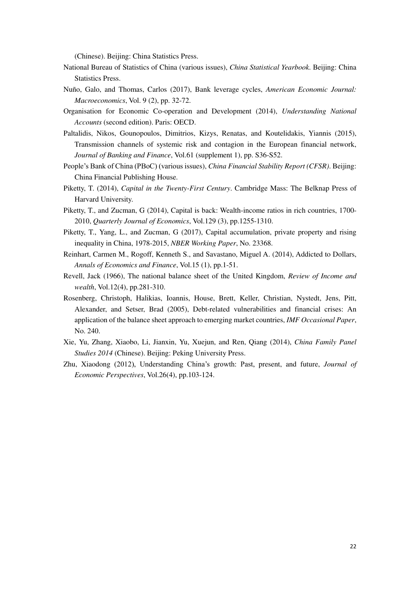(Chinese). Beijing: China Statistics Press.

- National Bureau of Statistics of China (various issues), *China Statistical Yearbook*. Beijing: China Statistics Press.
- Nuño, Galo, and Thomas, Carlos (2017), Bank leverage cycles, *American Economic Journal: Macroeconomics*, Vol. 9 (2), pp. 32-72.
- Organisation for Economic Co-operation and Development (2014), *Understanding National Accounts* (second edition). Paris: OECD.
- Paltalidis, Nikos, Gounopoulos, Dimitrios, Kizys, Renatas, and Koutelidakis, Yiannis (2015), Transmission channels of systemic risk and contagion in the European financial network, *Journal of Banking and Finance*, Vol.61 (supplement 1), pp. S36-S52.
- People's Bank of China (PBoC) (various issues), *China Financial Stability Report (CFSR)*. Beijing: China Financial Publishing House.
- Piketty, T. (2014), *Capital in the Twenty-First Century*. Cambridge Mass: The Belknap Press of Harvard University.
- Piketty, T., and Zucman, G (2014), Capital is back: Wealth-income ratios in rich countries, 1700- 2010, *Quarterly Journal of Economics*, Vol.129 (3), pp.1255-1310.
- Piketty, T., Yang, L., and Zucman, G (2017), Capital accumulation, private property and rising inequality in China, 1978-2015, *NBER Working Paper*, No. 23368.
- Reinhart, Carmen M., Rogoff, Kenneth S., and Savastano, Miguel A. (2014), Addicted to Dollars, *Annals of Economics and Finance*, Vol.15 (1), pp.1-51.
- Revell, Jack (1966), The national balance sheet of the United Kingdom, *Review of Income and wealth*, Vol.12(4), pp.281-310.
- Rosenberg, Christoph, Halikias, Ioannis, House, Brett, Keller, Christian, Nystedt, Jens, Pitt, Alexander, and Setser, Brad (2005), Debt-related vulnerabilities and financial crises: An application of the balance sheet approach to emerging market countries, *IMF Occasional Paper*, No. 240.
- Xie, Yu, Zhang, Xiaobo, Li, Jianxin, Yu, Xuejun, and Ren, Qiang (2014), *China Family Panel Studies 2014* (Chinese). Beijing: Peking University Press.
- Zhu, Xiaodong (2012), Understanding China's growth: Past, present, and future, *Journal of Economic Perspectives*, Vol.26(4), pp.103-124.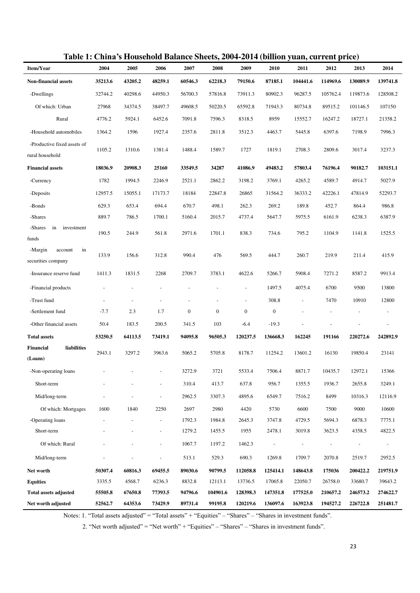| Item/Year                                      | 2004    | 2005    | 2006                     | 2007             | 2008             | 2009                     | 2010             | 2011     | д,<br>2012 | 2013     | 2014                     |
|------------------------------------------------|---------|---------|--------------------------|------------------|------------------|--------------------------|------------------|----------|------------|----------|--------------------------|
| <b>Non-financial assets</b>                    | 35213.6 | 43205.2 | 48259.1                  | 60546.3          | 62218.3          | 79150.6                  | 87185.1          | 104441.6 | 114969.6   | 130089.9 | 139741.8                 |
| -Dwellings                                     | 32744.2 | 40298.6 | 44950.3                  | 56700.3          | 57816.8          | 73911.3                  | 80902.3          | 96287.5  | 105762.4   | 119873.6 | 128508.2                 |
| Of which: Urban                                | 27968   | 34374.5 | 38497.7                  | 49608.5          | 50220.5          | 65592.8                  | 71943.3          | 80734.8  | 89515.2    | 101146.5 | 107150                   |
| Rural                                          | 4776.2  | 5924.1  | 6452.6                   | 7091.8           | 7596.3           | 8318.5                   | 8959             | 15552.7  | 16247.2    | 18727.1  | 21358.2                  |
| -Household automobiles                         | 1364.2  | 1596    | 1927.4                   | 2357.6           | 2811.8           | 3512.3                   | 4463.7           | 5445.8   | 6397.6     | 7198.9   | 7996.3                   |
| -Productive fixed assets of<br>rural household | 1105.2  | 1310.6  | 1381.4                   | 1488.4           | 1589.7           | 1727                     | 1819.1           | 2708.3   | 2809.6     | 3017.4   | 3237.3                   |
| <b>Financial assets</b>                        | 18036.9 | 20908.3 | 25160                    | 33549.5          | 34287            | 41086.9                  | 49483.2          | 57803.4  | 76196.4    | 90182.7  | 103151.1                 |
| -Currency                                      | 1782    | 1994.5  | 2246.9                   | 2521.1           | 2862.2           | 3198.2                   | 3769.1           | 4265.2   | 4589.7     | 4914.7   | 5027.9                   |
| -Deposits                                      | 12957.5 | 15055.1 | 17173.7                  | 18184            | 22847.8          | 26865                    | 31564.2          | 36333.2  | 42226.1    | 47814.9  | 52293.7                  |
| -Bonds                                         | 629.3   | 653.4   | 694.4                    | 670.7            | 498.1            | 262.3                    | 269.2            | 189.8    | 452.7      | 864.4    | 986.8                    |
| -Shares                                        | 889.7   | 786.5   | 1700.1                   | 5160.4           | 2015.7           | 4737.4                   | 5647.7           | 5975.5   | 6161.9     | 6238.3   | 6387.9                   |
| -Shares<br>in<br>investment<br>funds           | 190.5   | 244.9   | 561.8                    | 2971.6           | 1701.1           | 838.3                    | 734.6            | 795.2    | 1104.9     | 1141.8   | 1525.5                   |
| -Margin<br>account<br>in<br>securities company | 133.9   | 156.6   | 312.8                    | 990.4            | 476              | 569.5                    | 444.7            | 260.7    | 219.9      | 211.4    | 415.9                    |
| -Insurance reserve fund                        | 1411.3  | 1831.5  | 2268                     | 2709.7           | 3783.1           | 4622.6                   | 5266.7           | 5908.4   | 7271.2     | 8587.2   | 9913.4                   |
| -Financial products                            |         |         |                          |                  |                  | $\overline{\phantom{a}}$ | 1497.5           | 4075.4   | 6700       | 9500     | 13800                    |
| -Trust fund                                    |         |         | $\overline{a}$           |                  |                  | $\overline{\phantom{a}}$ | 308.8            |          | 7470       | 10910    | 12800                    |
| -Settlement fund                               | $-7.7$  | 2.3     | 1.7                      | $\boldsymbol{0}$ | $\boldsymbol{0}$ | $\boldsymbol{0}$         | $\boldsymbol{0}$ |          |            |          | $\overline{\phantom{0}}$ |
| -Other financial assets                        | 50.4    | 183.5   | 200.5                    | 341.5            | 103              | $-6.4$                   | $-19.3$          |          |            |          |                          |
| <b>Total assets</b>                            | 53250.5 | 64113.5 | 73419.1                  | 94095.8          | 96505.3          | 120237.5                 | 136668.3         | 162245   | 191166     | 220272.6 | 242892.9                 |
| liabilities<br>Financial<br>(Loans)            | 2943.1  | 3297.2  | 3963.6                   | 5065.2           | 5705.8           | 8178.7                   | 11254.2          | 13601.2  | 16130      | 19850.4  | 23141                    |
| -Non-operating loans                           |         |         | $\overline{a}$           | 3272.9           | 3721             | 5533.4                   | 7506.4           | 8871.7   | 10435.7    | 12972.1  | 15366                    |
| Short-term                                     |         |         | $\overline{\phantom{a}}$ | 310.4            | 413.7            | 637.8                    | 956.7            | 1355.5   | 1936.7     | 2655.8   | 3249.1                   |
| Mid/long-term                                  |         |         | $\overline{\phantom{a}}$ | 2962.5           | 3307.3           | 4895.6                   | 6549.7           | 7516.2   | 8499       | 10316.3  | 12116.9                  |
| Of which: Mortgages                            | 1600    | 1840    | 2250                     | 2697             | 2980             | 4420                     | 5730             | 6600     | 7500       | 9000     | 10600                    |
| -Operating loans                               |         |         | $\overline{\phantom{a}}$ | 1792.3           | 1984.8           | 2645.3                   | 3747.8           | 4729.5   | 5694.3     | 6878.3   | 7775.1                   |
| Short-term                                     |         |         | $\overline{\phantom{a}}$ | 1279.2           | 1455.5           | 1955                     | 2478.1           | 3019.8   | 3623.5     | 4358.5   | 4822.5                   |
| Of which: Rural                                |         |         | $\overline{a}$           | 1067.7           | 1197.2           | 1462.3                   |                  |          |            |          |                          |
| Mid/long-term                                  |         |         |                          | 513.1            | 529.3            | 690.3                    | 1269.8           | 1709.7   | 2070.8     | 2519.7   | 2952.5                   |
| Net worth                                      | 50307.4 | 60816.3 | 69455.5                  | 89030.6          | 90799.5          | 112058.8                 | 125414.1         | 148643.8 | 175036     | 200422.2 | 219751.9                 |
| <b>Equities</b>                                | 3335.5  | 4568.7  | 6236.3                   | 8832.8           | 12113.1          | 13736.5                  | 17065.8          | 22050.7  | 26758.0    | 33680.7  | 39643.2                  |
| <b>Total assets adjusted</b>                   | 55505.8 | 67650.8 | 77393.5                  | 94796.6          | 104901.6         | 128398.3                 | 147351.8         | 177525.0 | 210657.2   | 246573.2 | 274622.7                 |
| Net worth adjusted                             | 52562.7 | 64353.6 | 73429.9                  | 89731.4          | 99195.8          | 120219.6                 | 136097.6         | 163923.8 | 194527.2   | 226722.8 | 251481.7                 |

### **Table 1: China's Household Balance Sheets, 2004-2014 (billion yuan, current price)**

Notes: 1. "Total assets adjusted" = "Total assets" + "Equities" – "Shares" – "Shares in investment funds".

2. "Net worth adjusted" = "Net worth" + "Equities" – "Shares" – "Shares in investment funds".